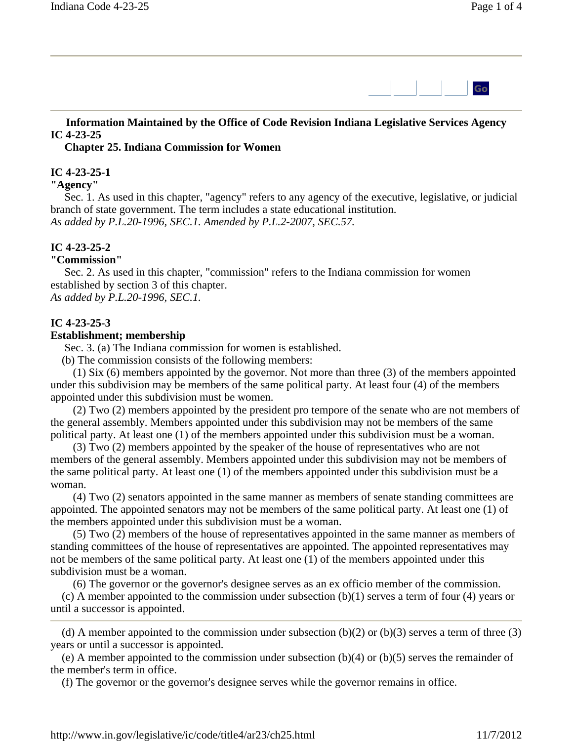

## **Information Maintained by the Office of Code Revision Indiana Legislative Services Agency IC 4-23-25**

 **Chapter 25. Indiana Commission for Women** 

#### **IC 4-23-25-1**

#### **"Agency"**

Sec. 1. As used in this chapter, "agency" refers to any agency of the executive, legislative, or judicial branch of state government. The term includes a state educational institution. *As added by P.L.20-1996, SEC.1. Amended by P.L.2-2007, SEC.57.*

#### **IC 4-23-25-2**

#### **"Commission"**

Sec. 2. As used in this chapter, "commission" refers to the Indiana commission for women established by section 3 of this chapter. *As added by P.L.20-1996, SEC.1.*

#### **IC 4-23-25-3**

#### **Establishment; membership**

Sec. 3. (a) The Indiana commission for women is established.

(b) The commission consists of the following members:

 (1) Six (6) members appointed by the governor. Not more than three (3) of the members appointed under this subdivision may be members of the same political party. At least four (4) of the members appointed under this subdivision must be women.

 (2) Two (2) members appointed by the president pro tempore of the senate who are not members of the general assembly. Members appointed under this subdivision may not be members of the same political party. At least one (1) of the members appointed under this subdivision must be a woman.

 (3) Two (2) members appointed by the speaker of the house of representatives who are not members of the general assembly. Members appointed under this subdivision may not be members of the same political party. At least one (1) of the members appointed under this subdivision must be a woman.

 (4) Two (2) senators appointed in the same manner as members of senate standing committees are appointed. The appointed senators may not be members of the same political party. At least one (1) of the members appointed under this subdivision must be a woman.

 (5) Two (2) members of the house of representatives appointed in the same manner as members of standing committees of the house of representatives are appointed. The appointed representatives may not be members of the same political party. At least one (1) of the members appointed under this subdivision must be a woman.

(6) The governor or the governor's designee serves as an ex officio member of the commission.

 (c) A member appointed to the commission under subsection (b)(1) serves a term of four (4) years or until a successor is appointed.

(d) A member appointed to the commission under subsection  $(b)(2)$  or  $(b)(3)$  serves a term of three (3) years or until a successor is appointed.

 (e) A member appointed to the commission under subsection (b)(4) or (b)(5) serves the remainder of the member's term in office.

(f) The governor or the governor's designee serves while the governor remains in office.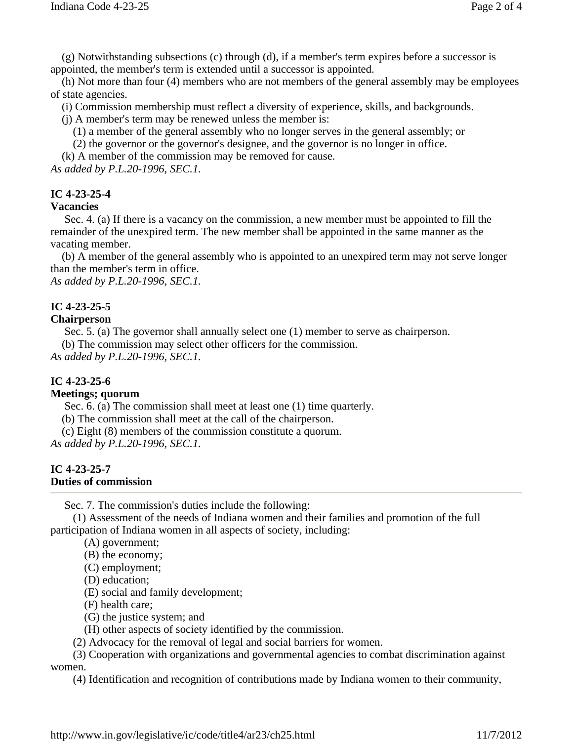(g) Notwithstanding subsections (c) through (d), if a member's term expires before a successor is appointed, the member's term is extended until a successor is appointed.

 (h) Not more than four (4) members who are not members of the general assembly may be employees of state agencies.

(i) Commission membership must reflect a diversity of experience, skills, and backgrounds.

(j) A member's term may be renewed unless the member is:

(1) a member of the general assembly who no longer serves in the general assembly; or

(2) the governor or the governor's designee, and the governor is no longer in office.

(k) A member of the commission may be removed for cause.

*As added by P.L.20-1996, SEC.1.*

# **IC 4-23-25-4**

#### **Vacancies**

Sec. 4. (a) If there is a vacancy on the commission, a new member must be appointed to fill the remainder of the unexpired term. The new member shall be appointed in the same manner as the vacating member.

 (b) A member of the general assembly who is appointed to an unexpired term may not serve longer than the member's term in office.

*As added by P.L.20-1996, SEC.1.*

# **IC 4-23-25-5**

## **Chairperson**

Sec. 5. (a) The governor shall annually select one (1) member to serve as chairperson.

(b) The commission may select other officers for the commission.

*As added by P.L.20-1996, SEC.1.*

## **IC 4-23-25-6**

## **Meetings; quorum**

Sec. 6. (a) The commission shall meet at least one (1) time quarterly.

(b) The commission shall meet at the call of the chairperson.

(c) Eight (8) members of the commission constitute a quorum.

*As added by P.L.20-1996, SEC.1.*

#### **IC 4-23-25-7 Duties of commission**

Sec. 7. The commission's duties include the following:

 (1) Assessment of the needs of Indiana women and their families and promotion of the full participation of Indiana women in all aspects of society, including:

(A) government;

(B) the economy;

(C) employment;

(D) education;

(E) social and family development;

(F) health care;

(G) the justice system; and

(H) other aspects of society identified by the commission.

(2) Advocacy for the removal of legal and social barriers for women.

 (3) Cooperation with organizations and governmental agencies to combat discrimination against women.

(4) Identification and recognition of contributions made by Indiana women to their community,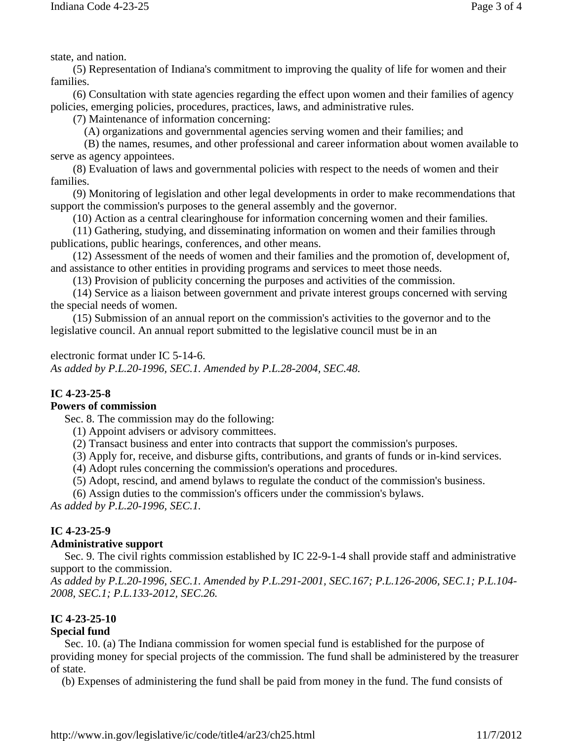state, and nation.

 (5) Representation of Indiana's commitment to improving the quality of life for women and their families.

 (6) Consultation with state agencies regarding the effect upon women and their families of agency policies, emerging policies, procedures, practices, laws, and administrative rules.

(7) Maintenance of information concerning:

(A) organizations and governmental agencies serving women and their families; and

 (B) the names, resumes, and other professional and career information about women available to serve as agency appointees.

 (8) Evaluation of laws and governmental policies with respect to the needs of women and their families.

 (9) Monitoring of legislation and other legal developments in order to make recommendations that support the commission's purposes to the general assembly and the governor.

(10) Action as a central clearinghouse for information concerning women and their families.

 (11) Gathering, studying, and disseminating information on women and their families through publications, public hearings, conferences, and other means.

 (12) Assessment of the needs of women and their families and the promotion of, development of, and assistance to other entities in providing programs and services to meet those needs.

(13) Provision of publicity concerning the purposes and activities of the commission.

 (14) Service as a liaison between government and private interest groups concerned with serving the special needs of women.

 (15) Submission of an annual report on the commission's activities to the governor and to the legislative council. An annual report submitted to the legislative council must be in an

## electronic format under IC 5-14-6.

*As added by P.L.20-1996, SEC.1. Amended by P.L.28-2004, SEC.48.*

# **IC 4-23-25-8**

## **Powers of commission**

Sec. 8. The commission may do the following:

(1) Appoint advisers or advisory committees.

(2) Transact business and enter into contracts that support the commission's purposes.

(3) Apply for, receive, and disburse gifts, contributions, and grants of funds or in-kind services.

(4) Adopt rules concerning the commission's operations and procedures.

(5) Adopt, rescind, and amend bylaws to regulate the conduct of the commission's business.

(6) Assign duties to the commission's officers under the commission's bylaws.

*As added by P.L.20-1996, SEC.1.*

# **IC 4-23-25-9**

## **Administrative support**

Sec. 9. The civil rights commission established by IC 22-9-1-4 shall provide staff and administrative support to the commission.

*As added by P.L.20-1996, SEC.1. Amended by P.L.291-2001, SEC.167; P.L.126-2006, SEC.1; P.L.104- 2008, SEC.1; P.L.133-2012, SEC.26.*

# **IC 4-23-25-10**

## **Special fund**

Sec. 10. (a) The Indiana commission for women special fund is established for the purpose of providing money for special projects of the commission. The fund shall be administered by the treasurer of state.

(b) Expenses of administering the fund shall be paid from money in the fund. The fund consists of